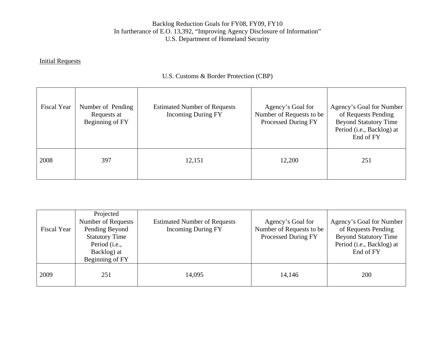## **Initial Requests**

# U.S. Customs & Border Protection (CBP)

| <b>Fiscal Year</b> | Number of Pending<br>Requests at<br>Beginning of FY | <b>Estimated Number of Requests</b><br><b>Incoming During FY</b> | Agency's Goal for<br>Number of Requests to be<br>Processed During FY | Agency's Goal for Number<br>of Requests Pending<br><b>Beyond Statutory Time</b><br>Period (i.e., Backlog) at<br>End of FY |
|--------------------|-----------------------------------------------------|------------------------------------------------------------------|----------------------------------------------------------------------|---------------------------------------------------------------------------------------------------------------------------|
| 2008               | 397                                                 | 12,151                                                           | 12,200                                                               | 251                                                                                                                       |

| <b>Fiscal Year</b> | Projected<br>Number of Requests<br>Pending Beyond<br><b>Statutory Time</b><br>Period (i.e.,<br>Backlog) at<br>Beginning of FY | <b>Estimated Number of Requests</b><br><b>Incoming During FY</b> | Agency's Goal for<br>Number of Requests to be<br>Processed During FY | Agency's Goal for Number<br>of Requests Pending<br><b>Beyond Statutory Time</b><br>Period (i.e., Backlog) at<br>End of FY |
|--------------------|-------------------------------------------------------------------------------------------------------------------------------|------------------------------------------------------------------|----------------------------------------------------------------------|---------------------------------------------------------------------------------------------------------------------------|
| 2009               | 251                                                                                                                           | 14,095                                                           | 14,146                                                               | 200                                                                                                                       |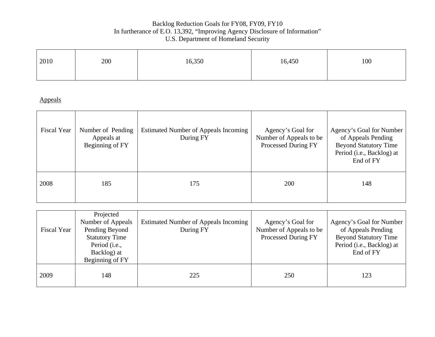| 2010 | 200 | 16,350 | 16,450 | 100 |
|------|-----|--------|--------|-----|
|      |     |        |        |     |

| Fiscal Year | Number of Pending<br>Appeals at<br>Beginning of FY | Estimated Number of Appeals Incoming<br>During FY | Agency's Goal for<br>Number of Appeals to be<br>Processed During FY | Agency's Goal for Number<br>of Appeals Pending<br><b>Beyond Statutory Time</b><br>Period (i.e., Backlog) at<br>End of FY |
|-------------|----------------------------------------------------|---------------------------------------------------|---------------------------------------------------------------------|--------------------------------------------------------------------------------------------------------------------------|
| 2008        | 185                                                | 175                                               | 200                                                                 | 148                                                                                                                      |

| <b>Fiscal Year</b> | Projected<br>Number of Appeals<br>Pending Beyond<br><b>Statutory Time</b><br>Period (i.e.,<br>Backlog) at<br>Beginning of FY | Estimated Number of Appeals Incoming<br>During FY | Agency's Goal for<br>Number of Appeals to be<br>Processed During FY | Agency's Goal for Number<br>of Appeals Pending<br><b>Beyond Statutory Time</b><br>Period (i.e., Backlog) at<br>End of FY |
|--------------------|------------------------------------------------------------------------------------------------------------------------------|---------------------------------------------------|---------------------------------------------------------------------|--------------------------------------------------------------------------------------------------------------------------|
| 2009               | 148                                                                                                                          | 225                                               | 250                                                                 | 123                                                                                                                      |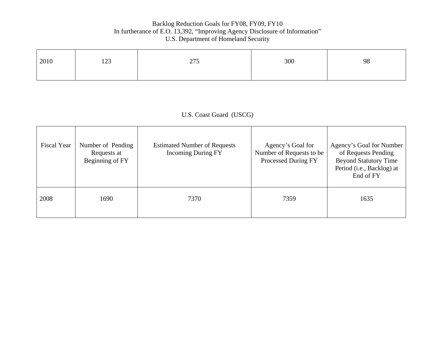| 2010 | 122<br>1/2 | 275<br>21J | 300 | 98 |
|------|------------|------------|-----|----|
|      |            |            |     |    |

U.S. Coast Guard (USCG)

| <b>Fiscal Year</b> | Number of Pending<br>Requests at<br>Beginning of FY | <b>Estimated Number of Requests</b><br><b>Incoming During FY</b> | Agency's Goal for<br>Number of Requests to be<br>Processed During FY | Agency's Goal for Number<br>of Requests Pending<br><b>Beyond Statutory Time</b><br>Period (i.e., Backlog) at<br>End of FY |
|--------------------|-----------------------------------------------------|------------------------------------------------------------------|----------------------------------------------------------------------|---------------------------------------------------------------------------------------------------------------------------|
| 2008               | 1690                                                | 7370                                                             | 7359                                                                 | 1635                                                                                                                      |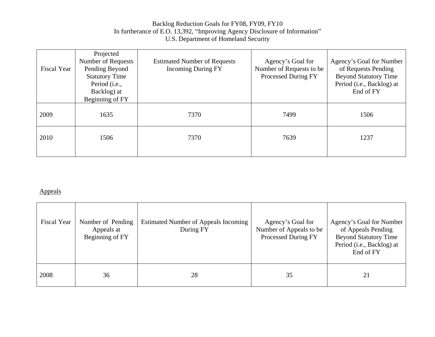| <b>Fiscal Year</b> | Projected<br>Number of Requests<br>Pending Beyond<br><b>Statutory Time</b><br>Period (i.e.,<br>Backlog) at<br>Beginning of FY | <b>Estimated Number of Requests</b><br><b>Incoming During FY</b> | Agency's Goal for<br>Number of Requests to be<br>Processed During FY | Agency's Goal for Number<br>of Requests Pending<br><b>Beyond Statutory Time</b><br>Period (i.e., Backlog) at<br>End of FY |
|--------------------|-------------------------------------------------------------------------------------------------------------------------------|------------------------------------------------------------------|----------------------------------------------------------------------|---------------------------------------------------------------------------------------------------------------------------|
| 2009               | 1635                                                                                                                          | 7370                                                             | 7499                                                                 | 1506                                                                                                                      |
| 2010               | 1506                                                                                                                          | 7370                                                             | 7639                                                                 | 1237                                                                                                                      |

| Fiscal Year | Number of Pending<br>Appeals at<br>Beginning of FY | <b>Estimated Number of Appeals Incoming</b><br>During FY | Agency's Goal for<br>Number of Appeals to be<br>Processed During FY | Agency's Goal for Number<br>of Appeals Pending<br><b>Beyond Statutory Time</b><br>Period (i.e., Backlog) at<br>End of FY |
|-------------|----------------------------------------------------|----------------------------------------------------------|---------------------------------------------------------------------|--------------------------------------------------------------------------------------------------------------------------|
| 2008        | 36                                                 | 28                                                       | 35                                                                  | 21                                                                                                                       |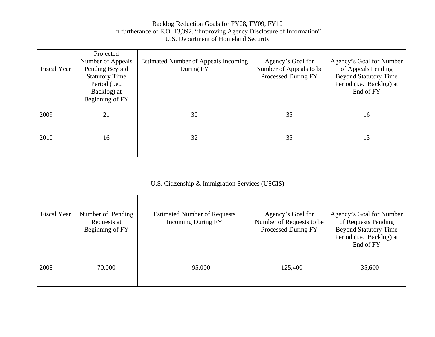| <b>Fiscal Year</b> | Projected<br>Number of Appeals<br>Pending Beyond<br><b>Statutory Time</b><br>Period (i.e.,<br>Backlog) at<br>Beginning of FY | Estimated Number of Appeals Incoming<br>During FY | Agency's Goal for<br>Number of Appeals to be<br>Processed During FY | Agency's Goal for Number<br>of Appeals Pending<br><b>Beyond Statutory Time</b><br>Period (i.e., Backlog) at<br>End of FY |
|--------------------|------------------------------------------------------------------------------------------------------------------------------|---------------------------------------------------|---------------------------------------------------------------------|--------------------------------------------------------------------------------------------------------------------------|
| 2009               | 21                                                                                                                           | 30                                                | 35                                                                  | 16                                                                                                                       |
| 2010               | 16                                                                                                                           | 32                                                | 35                                                                  | 13                                                                                                                       |

# U.S. Citizenship & Immigration Services (USCIS)

| <b>Fiscal Year</b> | Number of Pending<br>Requests at<br>Beginning of FY | <b>Estimated Number of Requests</b><br><b>Incoming During FY</b> | Agency's Goal for<br>Number of Requests to be<br>Processed During FY | Agency's Goal for Number<br>of Requests Pending<br><b>Beyond Statutory Time</b><br>Period (i.e., Backlog) at<br>End of FY |
|--------------------|-----------------------------------------------------|------------------------------------------------------------------|----------------------------------------------------------------------|---------------------------------------------------------------------------------------------------------------------------|
| 2008               | 70,000                                              | 95,000                                                           | 125,400                                                              | 35,600                                                                                                                    |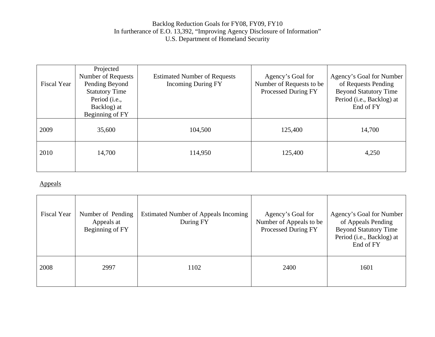| <b>Fiscal Year</b> | Projected<br>Number of Requests<br>Pending Beyond<br><b>Statutory Time</b><br>Period (i.e.,<br>Backlog) at<br>Beginning of FY | <b>Estimated Number of Requests</b><br><b>Incoming During FY</b> | Agency's Goal for<br>Number of Requests to be<br>Processed During FY | Agency's Goal for Number<br>of Requests Pending<br><b>Beyond Statutory Time</b><br>Period (i.e., Backlog) at<br>End of FY |
|--------------------|-------------------------------------------------------------------------------------------------------------------------------|------------------------------------------------------------------|----------------------------------------------------------------------|---------------------------------------------------------------------------------------------------------------------------|
| 2009               | 35,600                                                                                                                        | 104,500                                                          | 125,400                                                              | 14,700                                                                                                                    |
| 2010               | 14,700                                                                                                                        | 114,950                                                          | 125,400                                                              | 4,250                                                                                                                     |

| Fiscal Year | Number of Pending<br>Appeals at<br>Beginning of FY | Estimated Number of Appeals Incoming<br>During FY | Agency's Goal for<br>Number of Appeals to be<br>Processed During FY | Agency's Goal for Number<br>of Appeals Pending<br><b>Beyond Statutory Time</b><br>Period (i.e., Backlog) at<br>End of FY |
|-------------|----------------------------------------------------|---------------------------------------------------|---------------------------------------------------------------------|--------------------------------------------------------------------------------------------------------------------------|
| 2008        | 2997                                               | 1102                                              | 2400                                                                | 1601                                                                                                                     |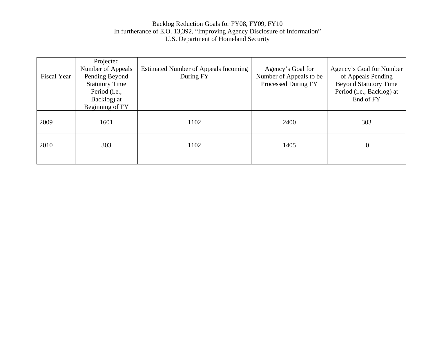| <b>Fiscal Year</b> | Projected<br>Number of Appeals<br>Pending Beyond<br><b>Statutory Time</b><br>Period (i.e.,<br>Backlog) at<br>Beginning of FY | Estimated Number of Appeals Incoming<br>During FY | Agency's Goal for<br>Number of Appeals to be<br>Processed During FY | Agency's Goal for Number<br>of Appeals Pending<br><b>Beyond Statutory Time</b><br>Period (i.e., Backlog) at<br>End of FY |
|--------------------|------------------------------------------------------------------------------------------------------------------------------|---------------------------------------------------|---------------------------------------------------------------------|--------------------------------------------------------------------------------------------------------------------------|
| 2009               | 1601                                                                                                                         | 1102                                              | 2400                                                                | 303                                                                                                                      |
| 2010               | 303                                                                                                                          | 1102                                              | 1405                                                                | $\theta$                                                                                                                 |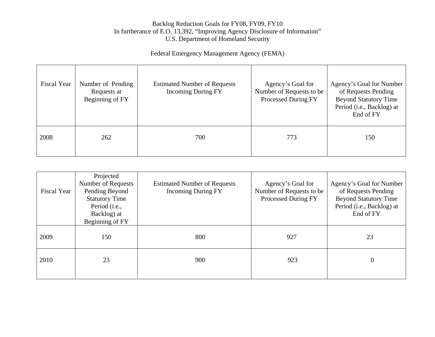# Federal Emergency Management Agency (FEMA)

| Fiscal Year | Number of Pending<br>Requests at<br>Beginning of FY | <b>Estimated Number of Requests</b><br><b>Incoming During FY</b> | Agency's Goal for<br>Number of Requests to be<br>Processed During FY | Agency's Goal for Number<br>of Requests Pending<br><b>Beyond Statutory Time</b><br>Period (i.e., Backlog) at<br>End of FY |
|-------------|-----------------------------------------------------|------------------------------------------------------------------|----------------------------------------------------------------------|---------------------------------------------------------------------------------------------------------------------------|
| 2008        | 262                                                 | 700                                                              | 773                                                                  | 150                                                                                                                       |

| <b>Fiscal Year</b> | Projected<br>Number of Requests<br>Pending Beyond<br><b>Statutory Time</b><br>Period (i.e.,<br>Backlog) at<br>Beginning of FY | <b>Estimated Number of Requests</b><br><b>Incoming During FY</b> | Agency's Goal for<br>Number of Requests to be<br>Processed During FY | Agency's Goal for Number<br>of Requests Pending<br><b>Beyond Statutory Time</b><br>Period (i.e., Backlog) at<br>End of FY |
|--------------------|-------------------------------------------------------------------------------------------------------------------------------|------------------------------------------------------------------|----------------------------------------------------------------------|---------------------------------------------------------------------------------------------------------------------------|
| 2009               | 150                                                                                                                           | 800                                                              | 927                                                                  | 23                                                                                                                        |
| 2010               | 23                                                                                                                            | 900                                                              | 923                                                                  | 0                                                                                                                         |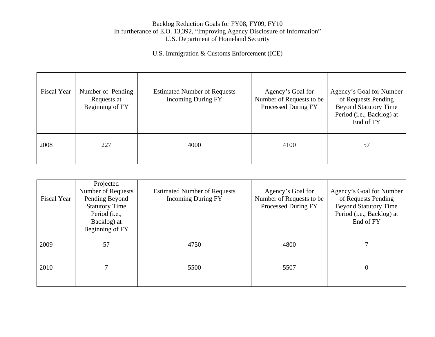U.S. Immigration & Customs Enforcement (ICE)

| Fiscal Year | Number of Pending<br>Requests at<br>Beginning of FY | <b>Estimated Number of Requests</b><br><b>Incoming During FY</b> | Agency's Goal for<br>Number of Requests to be<br>Processed During FY | Agency's Goal for Number<br>of Requests Pending<br><b>Beyond Statutory Time</b><br>Period (i.e., Backlog) at<br>End of FY |
|-------------|-----------------------------------------------------|------------------------------------------------------------------|----------------------------------------------------------------------|---------------------------------------------------------------------------------------------------------------------------|
| 2008        | 227                                                 | 4000                                                             | 4100                                                                 | 57                                                                                                                        |

| Fiscal Year | Projected<br>Number of Requests<br>Pending Beyond<br><b>Statutory Time</b><br>Period (i.e.,<br>Backlog) at<br>Beginning of FY | <b>Estimated Number of Requests</b><br><b>Incoming During FY</b> | Agency's Goal for<br>Number of Requests to be<br>Processed During FY | Agency's Goal for Number<br>of Requests Pending<br><b>Beyond Statutory Time</b><br>Period (i.e., Backlog) at<br>End of FY |
|-------------|-------------------------------------------------------------------------------------------------------------------------------|------------------------------------------------------------------|----------------------------------------------------------------------|---------------------------------------------------------------------------------------------------------------------------|
| 2009        | 57                                                                                                                            | 4750                                                             | 4800                                                                 |                                                                                                                           |
| 2010        |                                                                                                                               | 5500                                                             | 5507                                                                 | $\theta$                                                                                                                  |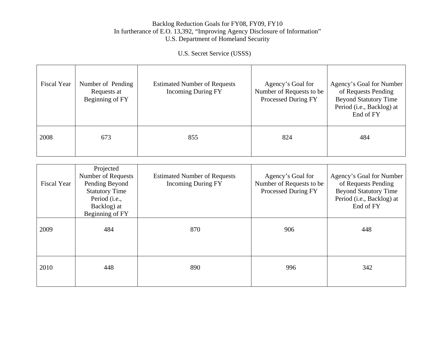U.S. Secret Service (USSS)

| <b>Fiscal Year</b> | Number of Pending<br>Requests at<br>Beginning of FY | <b>Estimated Number of Requests</b><br><b>Incoming During FY</b> | Agency's Goal for<br>Number of Requests to be<br><b>Processed During FY</b> | Agency's Goal for Number<br>of Requests Pending<br><b>Beyond Statutory Time</b><br>Period (i.e., Backlog) at<br>End of FY |
|--------------------|-----------------------------------------------------|------------------------------------------------------------------|-----------------------------------------------------------------------------|---------------------------------------------------------------------------------------------------------------------------|
| 2008               | 673                                                 | 855                                                              | 824                                                                         | 484                                                                                                                       |

| <b>Fiscal Year</b> | Projected<br>Number of Requests<br>Pending Beyond<br><b>Statutory Time</b><br>Period (i.e.,<br>Backlog) at<br>Beginning of FY | <b>Estimated Number of Requests</b><br><b>Incoming During FY</b> | Agency's Goal for<br>Number of Requests to be<br>Processed During FY | Agency's Goal for Number<br>of Requests Pending<br><b>Beyond Statutory Time</b><br>Period (i.e., Backlog) at<br>End of FY |
|--------------------|-------------------------------------------------------------------------------------------------------------------------------|------------------------------------------------------------------|----------------------------------------------------------------------|---------------------------------------------------------------------------------------------------------------------------|
| 2009               | 484                                                                                                                           | 870                                                              | 906                                                                  | 448                                                                                                                       |
| 2010               | 448                                                                                                                           | 890                                                              | 996                                                                  | 342                                                                                                                       |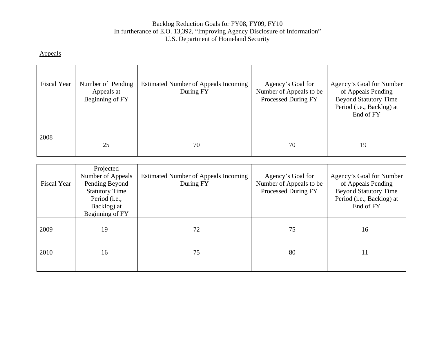| Fiscal Year | Number of Pending<br>Appeals at<br>Beginning of FY | <b>Estimated Number of Appeals Incoming</b><br>During FY | Agency's Goal for<br>Number of Appeals to be<br>Processed During FY | Agency's Goal for Number<br>of Appeals Pending<br><b>Beyond Statutory Time</b><br>Period (i.e., Backlog) at<br>End of FY |
|-------------|----------------------------------------------------|----------------------------------------------------------|---------------------------------------------------------------------|--------------------------------------------------------------------------------------------------------------------------|
| 2008        | 25                                                 | 70                                                       | 70                                                                  | 19                                                                                                                       |

| <b>Fiscal Year</b> | Projected<br>Number of Appeals<br>Pending Beyond<br><b>Statutory Time</b><br>Period (i.e.,<br>Backlog) at<br>Beginning of FY | <b>Estimated Number of Appeals Incoming</b><br>During FY | Agency's Goal for<br>Number of Appeals to be<br>Processed During FY | Agency's Goal for Number<br>of Appeals Pending<br><b>Beyond Statutory Time</b><br>Period (i.e., Backlog) at<br>End of FY |
|--------------------|------------------------------------------------------------------------------------------------------------------------------|----------------------------------------------------------|---------------------------------------------------------------------|--------------------------------------------------------------------------------------------------------------------------|
| 2009               | 19                                                                                                                           | 72                                                       | 75                                                                  | 16                                                                                                                       |
| 2010               | 16                                                                                                                           | 75                                                       | 80                                                                  | 11                                                                                                                       |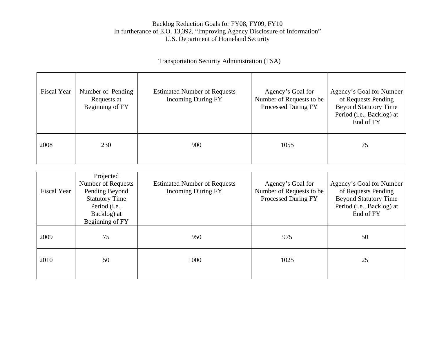# Transportation Security Administration (TSA)

| <b>Fiscal Year</b> | Number of Pending<br>Requests at<br>Beginning of FY | <b>Estimated Number of Requests</b><br><b>Incoming During FY</b> | Agency's Goal for<br>Number of Requests to be<br>Processed During FY | Agency's Goal for Number<br>of Requests Pending<br><b>Beyond Statutory Time</b><br>Period (i.e., Backlog) at<br>End of FY |
|--------------------|-----------------------------------------------------|------------------------------------------------------------------|----------------------------------------------------------------------|---------------------------------------------------------------------------------------------------------------------------|
| 2008               | 230                                                 | 900                                                              | 1055                                                                 | 75                                                                                                                        |

| <b>Fiscal Year</b> | Projected<br>Number of Requests<br>Pending Beyond<br><b>Statutory Time</b><br>Period (i.e.,<br>Backlog) at<br>Beginning of FY | <b>Estimated Number of Requests</b><br><b>Incoming During FY</b> | Agency's Goal for<br>Number of Requests to be<br>Processed During FY | Agency's Goal for Number<br>of Requests Pending<br><b>Beyond Statutory Time</b><br>Period (i.e., Backlog) at<br>End of FY |
|--------------------|-------------------------------------------------------------------------------------------------------------------------------|------------------------------------------------------------------|----------------------------------------------------------------------|---------------------------------------------------------------------------------------------------------------------------|
| 2009               | 75                                                                                                                            | 950                                                              | 975                                                                  | 50                                                                                                                        |
| 2010               | 50                                                                                                                            | 1000                                                             | 1025                                                                 | 25                                                                                                                        |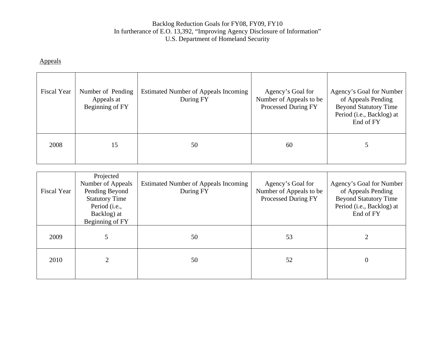| <b>Fiscal Year</b> | Number of Pending<br>Appeals at<br>Beginning of FY | <b>Estimated Number of Appeals Incoming</b><br>During FY | Agency's Goal for<br>Number of Appeals to be<br>Processed During FY | Agency's Goal for Number<br>of Appeals Pending<br><b>Beyond Statutory Time</b><br>Period (i.e., Backlog) at<br>End of FY |
|--------------------|----------------------------------------------------|----------------------------------------------------------|---------------------------------------------------------------------|--------------------------------------------------------------------------------------------------------------------------|
| 2008               | 15                                                 | 50                                                       | 60                                                                  |                                                                                                                          |

| <b>Fiscal Year</b> | Projected<br>Number of Appeals<br>Pending Beyond<br><b>Statutory Time</b><br>Period (i.e.,<br>Backlog) at<br>Beginning of FY | <b>Estimated Number of Appeals Incoming</b><br>During FY | Agency's Goal for<br>Number of Appeals to be<br>Processed During FY | Agency's Goal for Number<br>of Appeals Pending<br><b>Beyond Statutory Time</b><br>Period (i.e., Backlog) at<br>End of FY |
|--------------------|------------------------------------------------------------------------------------------------------------------------------|----------------------------------------------------------|---------------------------------------------------------------------|--------------------------------------------------------------------------------------------------------------------------|
| 2009               |                                                                                                                              | 50                                                       | 53                                                                  |                                                                                                                          |
| 2010               | 2                                                                                                                            | 50                                                       | 52                                                                  | $\mathbf{0}$                                                                                                             |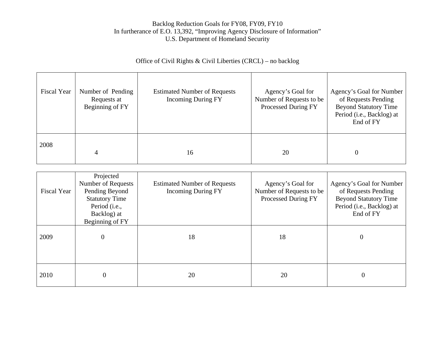# Office of Civil Rights & Civil Liberties (CRCL) – no backlog

| Fiscal Year | Number of Pending<br>Requests at<br>Beginning of FY | <b>Estimated Number of Requests</b><br><b>Incoming During FY</b> | Agency's Goal for<br>Number of Requests to be<br>Processed During FY | Agency's Goal for Number<br>of Requests Pending<br><b>Beyond Statutory Time</b><br>Period (i.e., Backlog) at<br>End of FY |
|-------------|-----------------------------------------------------|------------------------------------------------------------------|----------------------------------------------------------------------|---------------------------------------------------------------------------------------------------------------------------|
| 2008        |                                                     | 16                                                               | 20                                                                   | $\overline{0}$                                                                                                            |

| <b>Fiscal Year</b> | Projected<br>Number of Requests<br>Pending Beyond<br><b>Statutory Time</b><br>Period (i.e.,<br>Backlog) at<br>Beginning of FY | <b>Estimated Number of Requests</b><br><b>Incoming During FY</b> | Agency's Goal for<br>Number of Requests to be<br>Processed During FY | Agency's Goal for Number<br>of Requests Pending<br><b>Beyond Statutory Time</b><br>Period (i.e., Backlog) at<br>End of FY |
|--------------------|-------------------------------------------------------------------------------------------------------------------------------|------------------------------------------------------------------|----------------------------------------------------------------------|---------------------------------------------------------------------------------------------------------------------------|
| 2009               | 0                                                                                                                             | 18                                                               | 18                                                                   | $\mathbf{0}$                                                                                                              |
| 2010               | $\boldsymbol{0}$                                                                                                              | 20                                                               | 20                                                                   | 0                                                                                                                         |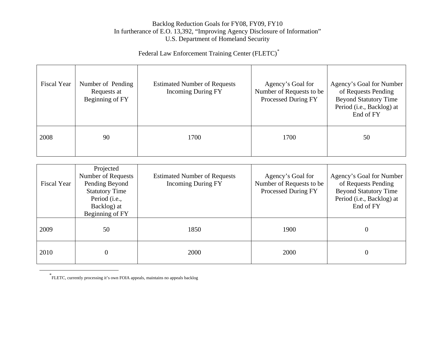Federal Law Enforcement Training Center (FLETC)[\\*](#page-14-0)

| Fiscal Year | Number of Pending<br>Requests at<br>Beginning of FY | <b>Estimated Number of Requests</b><br><b>Incoming During FY</b> | Agency's Goal for<br>Number of Requests to be<br>Processed During FY | Agency's Goal for Number<br>of Requests Pending<br><b>Beyond Statutory Time</b><br>Period (i.e., Backlog) at<br>End of FY |
|-------------|-----------------------------------------------------|------------------------------------------------------------------|----------------------------------------------------------------------|---------------------------------------------------------------------------------------------------------------------------|
| 2008        | 90                                                  | 1700                                                             | 1700                                                                 | 50                                                                                                                        |

| <b>Fiscal Year</b> | Projected<br>Number of Requests<br>Pending Beyond<br><b>Statutory Time</b><br>Period ( <i>i.e.</i> ,<br>Backlog) at<br>Beginning of FY | <b>Estimated Number of Requests</b><br><b>Incoming During FY</b> | Agency's Goal for<br>Number of Requests to be<br>Processed During FY | Agency's Goal for Number<br>of Requests Pending<br><b>Beyond Statutory Time</b><br>Period (i.e., Backlog) at<br>End of FY |
|--------------------|----------------------------------------------------------------------------------------------------------------------------------------|------------------------------------------------------------------|----------------------------------------------------------------------|---------------------------------------------------------------------------------------------------------------------------|
| 2009               | 50                                                                                                                                     | 1850                                                             | 1900                                                                 | $\overline{0}$                                                                                                            |
| 2010               | $\overline{0}$                                                                                                                         | 2000                                                             | 2000                                                                 | 0                                                                                                                         |

<span id="page-14-0"></span>\* FLETC, currently processing it's own FOIA appeals, maintains no appeals backlog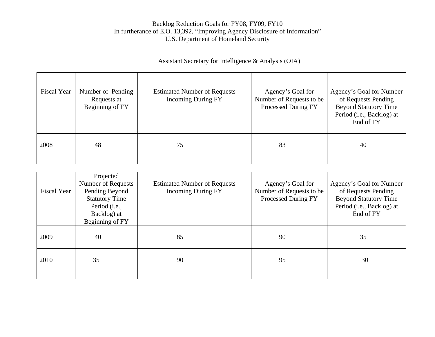# Assistant Secretary for Intelligence & Analysis (OIA)

| <b>Fiscal Year</b> | Number of Pending<br>Requests at<br>Beginning of FY | <b>Estimated Number of Requests</b><br><b>Incoming During FY</b> | Agency's Goal for<br>Number of Requests to be<br>Processed During FY | Agency's Goal for Number<br>of Requests Pending<br><b>Beyond Statutory Time</b><br>Period (i.e., Backlog) at<br>End of FY |
|--------------------|-----------------------------------------------------|------------------------------------------------------------------|----------------------------------------------------------------------|---------------------------------------------------------------------------------------------------------------------------|
| 2008               | 48                                                  | 75                                                               | 83                                                                   | 40                                                                                                                        |

| <b>Fiscal Year</b> | Projected<br>Number of Requests<br>Pending Beyond<br><b>Statutory Time</b><br>Period (i.e.,<br>Backlog) at<br>Beginning of FY | <b>Estimated Number of Requests</b><br><b>Incoming During FY</b> | Agency's Goal for<br>Number of Requests to be<br>Processed During FY | Agency's Goal for Number<br>of Requests Pending<br><b>Beyond Statutory Time</b><br>Period (i.e., Backlog) at<br>End of FY |
|--------------------|-------------------------------------------------------------------------------------------------------------------------------|------------------------------------------------------------------|----------------------------------------------------------------------|---------------------------------------------------------------------------------------------------------------------------|
| 2009               | 40                                                                                                                            | 85                                                               | 90                                                                   | 35                                                                                                                        |
| 2010               | 35                                                                                                                            | 90                                                               | 95                                                                   | 30                                                                                                                        |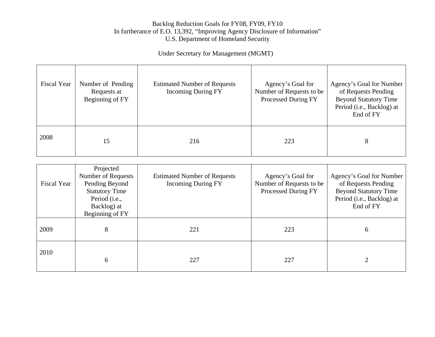# Under Secretary for Management (MGMT)

| <b>Fiscal Year</b> | Number of Pending<br>Requests at<br>Beginning of FY | <b>Estimated Number of Requests</b><br><b>Incoming During FY</b> | Agency's Goal for<br>Number of Requests to be<br>Processed During FY | Agency's Goal for Number<br>of Requests Pending<br><b>Beyond Statutory Time</b><br>Period (i.e., Backlog) at<br>End of FY |
|--------------------|-----------------------------------------------------|------------------------------------------------------------------|----------------------------------------------------------------------|---------------------------------------------------------------------------------------------------------------------------|
| 2008               | 15                                                  | 216                                                              | 223                                                                  | 8                                                                                                                         |

| <b>Fiscal Year</b> | Projected<br>Number of Requests<br>Pending Beyond<br><b>Statutory Time</b><br>Period (i.e.,<br>Backlog) at<br>Beginning of FY | <b>Estimated Number of Requests</b><br><b>Incoming During FY</b> | Agency's Goal for<br>Number of Requests to be<br>Processed During FY | Agency's Goal for Number<br>of Requests Pending<br><b>Beyond Statutory Time</b><br>Period (i.e., Backlog) at<br>End of FY |
|--------------------|-------------------------------------------------------------------------------------------------------------------------------|------------------------------------------------------------------|----------------------------------------------------------------------|---------------------------------------------------------------------------------------------------------------------------|
| 2009               | 8                                                                                                                             | 221                                                              | 223                                                                  | 6                                                                                                                         |
| 2010               | 6                                                                                                                             | 227                                                              | 227                                                                  | $\overline{2}$                                                                                                            |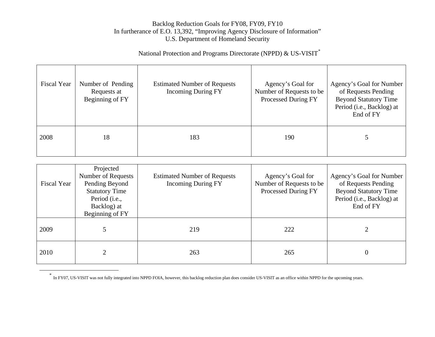# National Protection and Programs Directorate (NPPD) & US-VISIT[\\*](#page-17-0)

| Fiscal Year | Number of Pending<br>Requests at<br>Beginning of FY | <b>Estimated Number of Requests</b><br><b>Incoming During FY</b> | Agency's Goal for<br>Number of Requests to be<br>Processed During FY | Agency's Goal for Number<br>of Requests Pending<br><b>Beyond Statutory Time</b><br>Period (i.e., Backlog) at<br>End of FY |
|-------------|-----------------------------------------------------|------------------------------------------------------------------|----------------------------------------------------------------------|---------------------------------------------------------------------------------------------------------------------------|
| 2008        | 18                                                  | 183                                                              | 190                                                                  |                                                                                                                           |

| Fiscal Year | Projected<br>Number of Requests<br>Pending Beyond<br><b>Statutory Time</b><br>Period (i.e.,<br>Backlog) at<br>Beginning of FY | <b>Estimated Number of Requests</b><br><b>Incoming During FY</b> | Agency's Goal for<br>Number of Requests to be<br>Processed During FY | Agency's Goal for Number<br>of Requests Pending<br><b>Beyond Statutory Time</b><br>Period (i.e., Backlog) at<br>End of FY |
|-------------|-------------------------------------------------------------------------------------------------------------------------------|------------------------------------------------------------------|----------------------------------------------------------------------|---------------------------------------------------------------------------------------------------------------------------|
| 2009        |                                                                                                                               | 219                                                              | 222                                                                  |                                                                                                                           |
| 2010        |                                                                                                                               | 263                                                              | 265                                                                  | $\theta$                                                                                                                  |

<span id="page-17-0"></span><sup>\*</sup> In FY07, US-VISIT was not fully integrated into NPPD FOIA, however, this backlog reduction plan does consider US-VISIT as an office within NPPD for the upcoming years.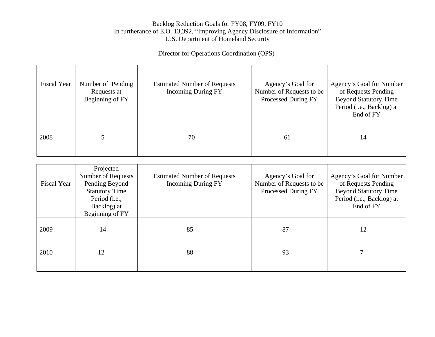Director for Operations Coordination (OPS)

| <b>Fiscal Year</b> | Number of Pending<br>Requests at<br>Beginning of FY | <b>Estimated Number of Requests</b><br><b>Incoming During FY</b> | Agency's Goal for<br>Number of Requests to be<br>Processed During FY | Agency's Goal for Number<br>of Requests Pending<br><b>Beyond Statutory Time</b><br>Period (i.e., Backlog) at<br>End of FY |
|--------------------|-----------------------------------------------------|------------------------------------------------------------------|----------------------------------------------------------------------|---------------------------------------------------------------------------------------------------------------------------|
| 2008               |                                                     | 70                                                               | 61                                                                   | 14                                                                                                                        |

| <b>Fiscal Year</b> | Projected<br>Number of Requests<br>Pending Beyond<br><b>Statutory Time</b><br>Period (i.e.,<br>Backlog) at<br>Beginning of FY | <b>Estimated Number of Requests</b><br><b>Incoming During FY</b> | Agency's Goal for<br>Number of Requests to be<br>Processed During FY | Agency's Goal for Number<br>of Requests Pending<br><b>Beyond Statutory Time</b><br>Period (i.e., Backlog) at<br>End of FY |
|--------------------|-------------------------------------------------------------------------------------------------------------------------------|------------------------------------------------------------------|----------------------------------------------------------------------|---------------------------------------------------------------------------------------------------------------------------|
| 2009               | 14                                                                                                                            | 85                                                               | 87                                                                   | 12                                                                                                                        |
| 2010               | 12                                                                                                                            | 88                                                               | 93                                                                   |                                                                                                                           |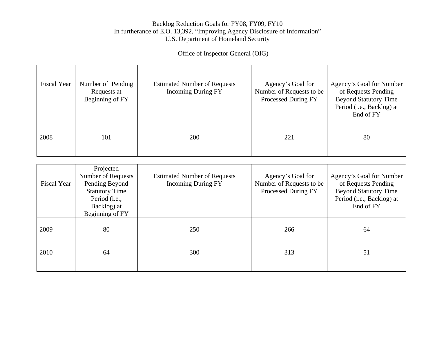Office of Inspector General (OIG)

| <b>Fiscal Year</b> | Number of Pending<br>Requests at<br>Beginning of FY | <b>Estimated Number of Requests</b><br><b>Incoming During FY</b> | Agency's Goal for<br>Number of Requests to be<br>Processed During FY | Agency's Goal for Number<br>of Requests Pending<br><b>Beyond Statutory Time</b><br>Period (i.e., Backlog) at<br>End of FY |
|--------------------|-----------------------------------------------------|------------------------------------------------------------------|----------------------------------------------------------------------|---------------------------------------------------------------------------------------------------------------------------|
| 2008               | 101                                                 | <b>200</b>                                                       | 221                                                                  | 80                                                                                                                        |

| <b>Fiscal Year</b> | Projected<br>Number of Requests<br>Pending Beyond<br><b>Statutory Time</b><br>Period (i.e.,<br>Backlog) at<br>Beginning of FY | <b>Estimated Number of Requests</b><br><b>Incoming During FY</b> | Agency's Goal for<br>Number of Requests to be<br>Processed During FY | Agency's Goal for Number<br>of Requests Pending<br><b>Beyond Statutory Time</b><br>Period (i.e., Backlog) at<br>End of FY |
|--------------------|-------------------------------------------------------------------------------------------------------------------------------|------------------------------------------------------------------|----------------------------------------------------------------------|---------------------------------------------------------------------------------------------------------------------------|
| 2009               | 80                                                                                                                            | 250                                                              | 266                                                                  | 64                                                                                                                        |
| 2010               | 64                                                                                                                            | 300                                                              | 313                                                                  | 51                                                                                                                        |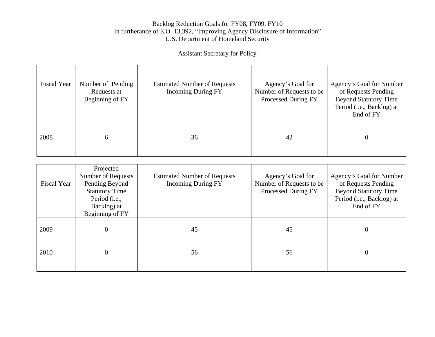# Assistant Secretary for Policy

| <b>Fiscal Year</b> | Number of Pending<br>Requests at<br>Beginning of FY | <b>Estimated Number of Requests</b><br><b>Incoming During FY</b> | Agency's Goal for<br>Number of Requests to be<br>Processed During FY | Agency's Goal for Number<br>of Requests Pending<br><b>Beyond Statutory Time</b><br>Period (i.e., Backlog) at<br>End of FY |
|--------------------|-----------------------------------------------------|------------------------------------------------------------------|----------------------------------------------------------------------|---------------------------------------------------------------------------------------------------------------------------|
| 2008               | 6                                                   | 36                                                               | 42                                                                   | $\Omega$                                                                                                                  |

| <b>Fiscal Year</b> | Projected<br>Number of Requests<br>Pending Beyond<br><b>Statutory Time</b><br>Period (i.e.,<br>Backlog) at<br>Beginning of FY | <b>Estimated Number of Requests</b><br><b>Incoming During FY</b> | Agency's Goal for<br>Number of Requests to be<br>Processed During FY | Agency's Goal for Number<br>of Requests Pending<br><b>Beyond Statutory Time</b><br>Period (i.e., Backlog) at<br>End of FY |
|--------------------|-------------------------------------------------------------------------------------------------------------------------------|------------------------------------------------------------------|----------------------------------------------------------------------|---------------------------------------------------------------------------------------------------------------------------|
| 2009               | $\overline{0}$                                                                                                                | 45                                                               | 45                                                                   | $\theta$                                                                                                                  |
| 2010               | $\overline{0}$                                                                                                                | 56                                                               | 56                                                                   | $\theta$                                                                                                                  |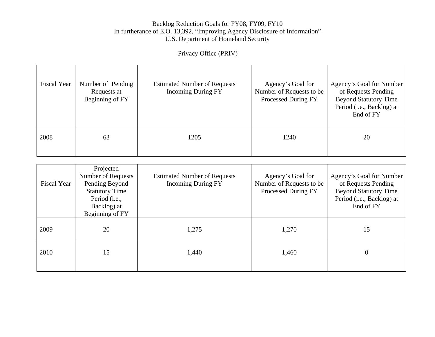# Privacy Office (PRIV)

| <b>Fiscal Year</b> | Number of Pending<br>Requests at<br>Beginning of FY | <b>Estimated Number of Requests</b><br><b>Incoming During FY</b> | Agency's Goal for<br>Number of Requests to be<br>Processed During FY | Agency's Goal for Number<br>of Requests Pending<br><b>Beyond Statutory Time</b><br>Period (i.e., Backlog) at<br>End of FY |
|--------------------|-----------------------------------------------------|------------------------------------------------------------------|----------------------------------------------------------------------|---------------------------------------------------------------------------------------------------------------------------|
| 2008               | 63                                                  | 1205                                                             | 1240                                                                 | 20                                                                                                                        |

| <b>Fiscal Year</b> | Projected<br>Number of Requests<br>Pending Beyond<br><b>Statutory Time</b><br>Period (i.e.,<br>Backlog) at<br>Beginning of FY | <b>Estimated Number of Requests</b><br><b>Incoming During FY</b> | Agency's Goal for<br>Number of Requests to be<br>Processed During FY | Agency's Goal for Number<br>of Requests Pending<br><b>Beyond Statutory Time</b><br>Period (i.e., Backlog) at<br>End of FY |
|--------------------|-------------------------------------------------------------------------------------------------------------------------------|------------------------------------------------------------------|----------------------------------------------------------------------|---------------------------------------------------------------------------------------------------------------------------|
| 2009               | 20                                                                                                                            | 1,275                                                            | 1,270                                                                | 15                                                                                                                        |
| 2010               | 15                                                                                                                            | 1,440                                                            | 1,460                                                                | $\theta$                                                                                                                  |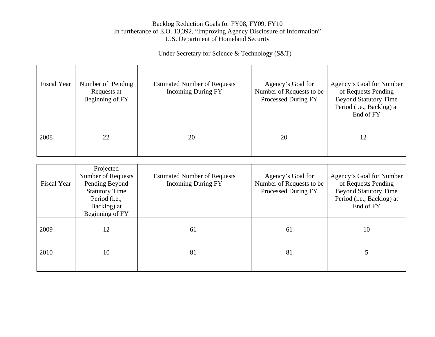Under Secretary for Science & Technology (S&T)

| <b>Fiscal Year</b> | Number of Pending<br>Requests at<br>Beginning of FY | <b>Estimated Number of Requests</b><br><b>Incoming During FY</b> | Agency's Goal for<br>Number of Requests to be<br>Processed During FY | Agency's Goal for Number<br>of Requests Pending<br><b>Beyond Statutory Time</b><br>Period (i.e., Backlog) at<br>End of FY |
|--------------------|-----------------------------------------------------|------------------------------------------------------------------|----------------------------------------------------------------------|---------------------------------------------------------------------------------------------------------------------------|
| 2008               | 22                                                  | 20                                                               | 20                                                                   | 12                                                                                                                        |

| <b>Fiscal Year</b> | Projected<br>Number of Requests<br>Pending Beyond<br><b>Statutory Time</b><br>Period (i.e.,<br>Backlog) at<br>Beginning of FY | <b>Estimated Number of Requests</b><br><b>Incoming During FY</b> | Agency's Goal for<br>Number of Requests to be<br>Processed During FY | Agency's Goal for Number<br>of Requests Pending<br><b>Beyond Statutory Time</b><br>Period (i.e., Backlog) at<br>End of FY |
|--------------------|-------------------------------------------------------------------------------------------------------------------------------|------------------------------------------------------------------|----------------------------------------------------------------------|---------------------------------------------------------------------------------------------------------------------------|
| 2009               | 12                                                                                                                            | 61                                                               | 61                                                                   | 10                                                                                                                        |
| 2010               | 10                                                                                                                            | 81                                                               | 81                                                                   |                                                                                                                           |